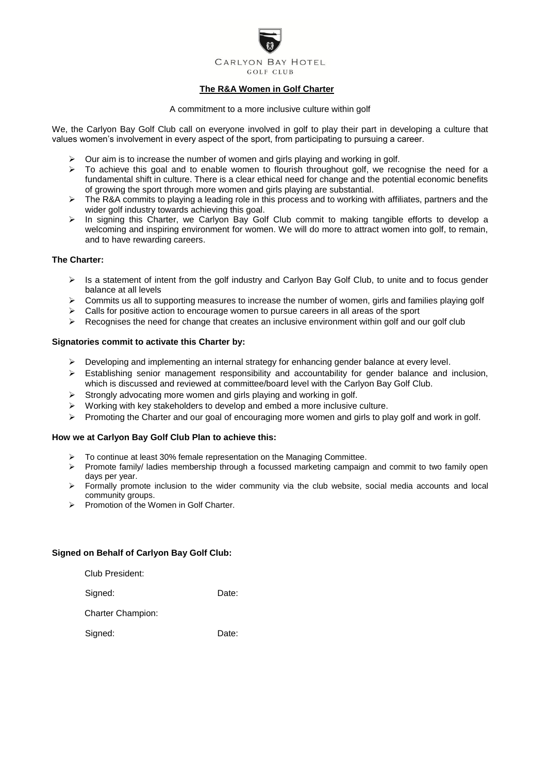

# **The R&A Women in Golf Charter**

#### A commitment to a more inclusive culture within golf

We, the Carlyon Bay Golf Club call on everyone involved in golf to play their part in developing a culture that values women's involvement in every aspect of the sport, from participating to pursuing a career.

- Our aim is to increase the number of women and girls playing and working in golf.
- $\triangleright$  To achieve this goal and to enable women to flourish throughout golf, we recognise the need for a fundamental shift in culture. There is a clear ethical need for change and the potential economic benefits of growing the sport through more women and girls playing are substantial.
- $\triangleright$  The R&A commits to playing a leading role in this process and to working with affiliates, partners and the wider golf industry towards achieving this goal.
- $\triangleright$  In signing this Charter, we Carlyon Bay Golf Club commit to making tangible efforts to develop a welcoming and inspiring environment for women. We will do more to attract women into golf, to remain, and to have rewarding careers.

## **The Charter:**

- $\triangleright$  Is a statement of intent from the golf industry and Carlyon Bay Golf Club, to unite and to focus gender balance at all levels
- Commits us all to supporting measures to increase the number of women, girls and families playing golf
- $\triangleright$  Calls for positive action to encourage women to pursue careers in all areas of the sport
- $\triangleright$  Recognises the need for change that creates an inclusive environment within golf and our golf club

### **Signatories commit to activate this Charter by:**

- $\triangleright$  Developing and implementing an internal strategy for enhancing gender balance at every level.
- $\triangleright$  Establishing senior management responsibility and accountability for gender balance and inclusion, which is discussed and reviewed at committee/board level with the Carlyon Bay Golf Club.
- $\triangleright$  Strongly advocating more women and girls playing and working in golf.
- $\triangleright$  Working with key stakeholders to develop and embed a more inclusive culture.
- $\triangleright$  Promoting the Charter and our goal of encouraging more women and girls to play golf and work in golf.

## **How we at Carlyon Bay Golf Club Plan to achieve this:**

- $\geq$  To continue at least 30% female representation on the Managing Committee.<br>
Promote family/ ladies membership through a focussed marketing campaign
- Promote family/ ladies membership through a focussed marketing campaign and commit to two family open days per year.
- $\triangleright$  Formally promote inclusion to the wider community via the club website, social media accounts and local community groups.
- $\triangleright$  Promotion of the Women in Golf Charter.

### **Signed on Behalf of Carlyon Bay Golf Club:**

Club President:

Signed: Date:

Charter Champion:

Signed: Date: